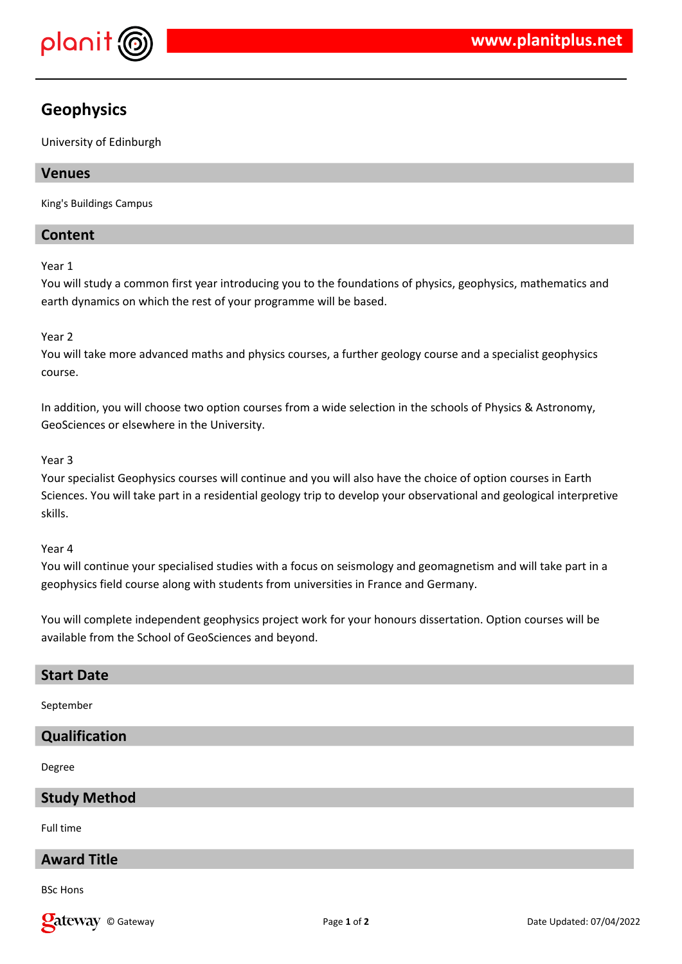

## **Geophysics**

University of Edinburgh

## **Venues**

King's Buildings Campus

## **Content**

#### Year 1

You will study a common first year introducing you to the foundations of physics, geophysics, mathematics and earth dynamics on which the rest of your programme will be based.

## Year 2

You will take more advanced maths and physics courses, a further geology course and a specialist geophysics course.

In addition, you will choose two option courses from a wide selection in the schools of Physics & Astronomy, GeoSciences or elsewhere in the University.

#### Year 3

Your specialist Geophysics courses will continue and you will also have the choice of option courses in Earth Sciences. You will take part in a residential geology trip to develop your observational and geological interpretive skills.

#### Year 4

You will continue your specialised studies with a focus on seismology and geomagnetism and will take part in a geophysics field course along with students from universities in France and Germany.

You will complete independent geophysics project work for your honours dissertation. Option courses will be available from the School of GeoSciences and beyond.

# **Start Date**

September

## **Qualification**

Degree

## **Study Method**

Full time

## **Award Title**

BSc Hons